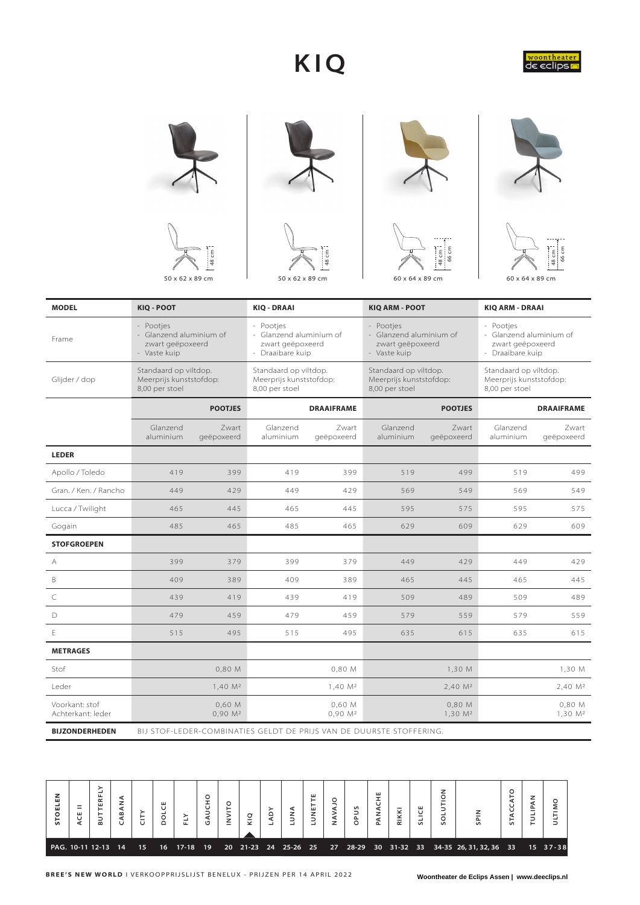## **KIQ**















| <b>MODEL</b>                        | KIO - POOT                                                               |                               | <b>KIQ - DRAAI</b>                                                           |                               | <b>KIQ ARM - POOT</b>                                                    |                               | <b>KIO ARM - DRAAI</b>                                                       |                               |  |  |  |
|-------------------------------------|--------------------------------------------------------------------------|-------------------------------|------------------------------------------------------------------------------|-------------------------------|--------------------------------------------------------------------------|-------------------------------|------------------------------------------------------------------------------|-------------------------------|--|--|--|
| Frame                               | - Pootjes<br>- Glanzend aluminium of<br>zwart geëpoxeerd<br>- Vaste kuip |                               | - Pootjes<br>- Glanzend aluminium of<br>zwart geëpoxeerd<br>- Draaibare kuip |                               | - Pootjes<br>- Glanzend aluminium of<br>zwart geëpoxeerd<br>- Vaste kuip |                               | - Pootjes<br>- Glanzend aluminium of<br>zwart geëpoxeerd<br>- Draaibare kuip |                               |  |  |  |
| Glijder / dop                       | Standaard op viltdop.<br>Meerprijs kunststofdop:<br>8,00 per stoel       |                               | Standaard op viltdop.<br>Meerprijs kunststofdop:<br>8,00 per stoel           |                               | Standaard op viltdop.<br>Meerprijs kunststofdop:<br>8,00 per stoel       |                               | Standaard op viltdop.<br>Meerprijs kunststofdop:<br>8,00 per stoel           |                               |  |  |  |
|                                     |                                                                          | <b>POOTJES</b>                |                                                                              | <b>DRAAIFRAME</b>             |                                                                          | <b>POOTJES</b>                | <b>DRAAIFRAME</b>                                                            |                               |  |  |  |
|                                     | Glanzend<br>aluminium                                                    | Zwart<br>geëpoxeerd           | Glanzend<br>aluminium                                                        | Zwart<br>geëpoxeerd           | Glanzend<br>aluminium                                                    | Zwart<br>geëpoxeerd           | Glanzend<br>aluminium                                                        | Zwart<br>geëpoxeerd           |  |  |  |
| <b>LEDER</b>                        |                                                                          |                               |                                                                              |                               |                                                                          |                               |                                                                              |                               |  |  |  |
| Apollo / Toledo                     | 419                                                                      | 399                           | 419                                                                          | 399                           | 519                                                                      | 499                           | 519                                                                          | 499                           |  |  |  |
| Gran, / Ken, / Rancho               | 449                                                                      | 429                           | 449                                                                          | 429                           | 569                                                                      | 549                           | 569                                                                          | 549                           |  |  |  |
| Lucca / Twilight                    | 465                                                                      | 445                           | 465                                                                          | 445                           | 595                                                                      | 575                           | 595                                                                          | 575                           |  |  |  |
| Gogain                              | 485                                                                      | 465                           | 485                                                                          | 465                           | 629                                                                      | 609                           | 629                                                                          | 609                           |  |  |  |
| <b>STOFGROEPEN</b>                  |                                                                          |                               |                                                                              |                               |                                                                          |                               |                                                                              |                               |  |  |  |
| Α                                   | 399                                                                      | 379                           | 399                                                                          | 379                           | 449                                                                      | 429                           | 449                                                                          | 429                           |  |  |  |
| B                                   | 409                                                                      | 389                           | 409                                                                          | 389                           | 465                                                                      | 445                           | 465                                                                          | 445                           |  |  |  |
| C                                   | 439                                                                      | 419                           | 439                                                                          | 419                           | 509                                                                      | 489                           | 509                                                                          | 489                           |  |  |  |
| D                                   | 479                                                                      | 459                           | 479                                                                          | 459                           | 579                                                                      | 559                           | 579                                                                          | 559                           |  |  |  |
| E                                   | 515                                                                      | 495                           | 515                                                                          | 495                           | 635                                                                      | 615                           | 635                                                                          | 615                           |  |  |  |
| <b>METRAGES</b>                     |                                                                          |                               |                                                                              |                               |                                                                          |                               |                                                                              |                               |  |  |  |
| Stof                                |                                                                          | 0,80 M                        |                                                                              | 0,80 M                        |                                                                          | 1,30 M                        |                                                                              | 1,30 M                        |  |  |  |
| Leder                               |                                                                          | $1,40$ $M2$                   |                                                                              | 1,40 M <sup>2</sup>           |                                                                          | 2,40 M <sup>2</sup>           |                                                                              | 2,40 M <sup>2</sup>           |  |  |  |
| Voorkant: stof<br>Achterkant: leder |                                                                          | 0,60 M<br>0,90 M <sup>2</sup> |                                                                              | 0,60 M<br>0,90 M <sup>2</sup> |                                                                          | 0,80 M<br>1,30 M <sup>2</sup> |                                                                              | 0,80 M<br>1,30 M <sup>2</sup> |  |  |  |
| <b>BIJZONDERHEDEN</b>               |                                                                          |                               |                                                                              |                               | BIJ STOF-LEDER-COMBINATIES GELDT DE PRIJS VAN DE DUURSTE STOFFERING.     |                               |                                                                              |                               |  |  |  |

**BUTTERFLY BUT TERFLY SOLUTION STACCATO** PANACHE **SOLUTION STACCATO** CABANA TULIPAN STOELEN LUNETTE **PANACHE STOELEN** GAUCHO **LUNETTE NAVAJO GAUCHO ULTIMO CABANA TULIPAN DOLCE INVITO NAVAJO ACE II OPUS SLICE LUNA RIKKI LADY CITY SPIN FLY KIQ** PAG. 10-11 12-13 14 15 16 17-18 19 20 21-23 24 25-26 25 27 28-29 30 31-32 33 34-35 26, 31, 32, 36 33 15 37-38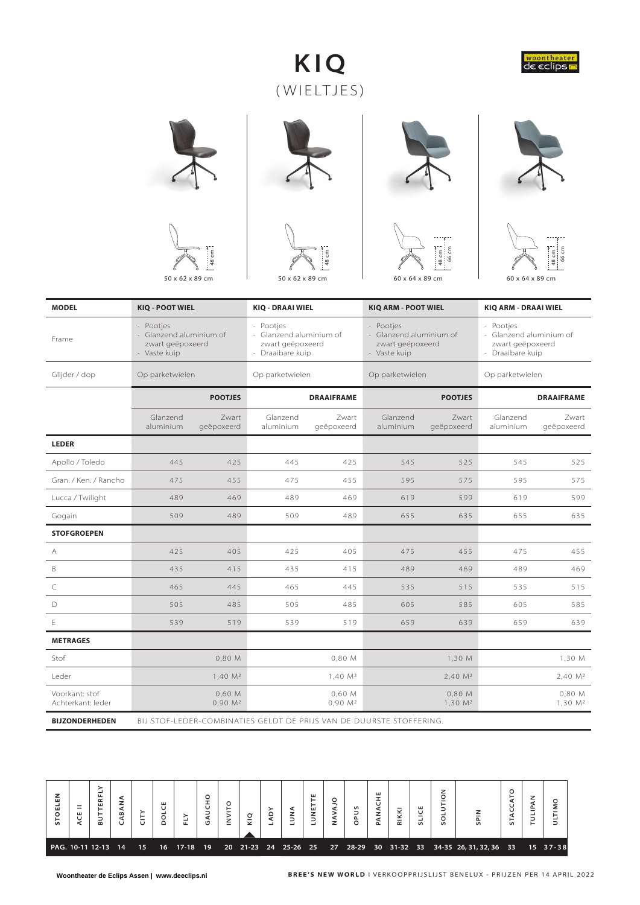## **K I Q**  ( WIELTJES)















| <b>MODEL</b>                        | <b>KIQ - POOT WIEL</b>                                                   |                                 | <b>KIQ - DRAAI WIEL</b>                                                      |                               | <b>KIQ ARM - POOT WIEL</b>                                               |                               | <b>KIQ ARM - DRAAI WIEL</b>                                                  |                               |  |  |
|-------------------------------------|--------------------------------------------------------------------------|---------------------------------|------------------------------------------------------------------------------|-------------------------------|--------------------------------------------------------------------------|-------------------------------|------------------------------------------------------------------------------|-------------------------------|--|--|
| Frame                               | - Pootjes<br>- Glanzend aluminium of<br>zwart geëpoxeerd<br>- Vaste kuip |                                 | - Pootjes<br>- Glanzend aluminium of<br>zwart geëpoxeerd<br>- Draaibare kuip |                               | - Pootjes<br>- Glanzend aluminium of<br>zwart geëpoxeerd<br>- Vaste kuip |                               | - Pootjes<br>- Glanzend aluminium of<br>zwart geëpoxeerd<br>- Draaibare kuip |                               |  |  |
| Glijder / dop                       | Op parketwielen                                                          |                                 | Op parketwielen                                                              |                               | Op parketwielen                                                          |                               | Op parketwielen                                                              |                               |  |  |
|                                     |                                                                          | <b>POOTJES</b>                  |                                                                              | <b>DRAAIFRAME</b>             |                                                                          | <b>POOTJES</b>                |                                                                              | <b>DRAAIFRAME</b>             |  |  |
|                                     | Glanzend<br>aluminium                                                    | Zwart<br>geëpoxeerd             | Glanzend<br>aluminium                                                        | Zwart<br>geëpoxeerd           | Glanzend<br>aluminium                                                    | Zwart<br>geëpoxeerd           | Glanzend<br>aluminium                                                        | Zwart<br>geëpoxeerd           |  |  |
| <b>LEDER</b>                        |                                                                          |                                 |                                                                              |                               |                                                                          |                               |                                                                              |                               |  |  |
| Apollo / Toledo                     | 445                                                                      | 425                             | 445                                                                          | 425                           | 545                                                                      | 525                           | 545                                                                          | 525                           |  |  |
| Gran, / Ken, / Rancho               | 475                                                                      | 455                             | 475                                                                          | 455                           | 595                                                                      | 575                           | 595                                                                          | 575                           |  |  |
| Lucca / Twilight                    | 489                                                                      | 469                             | 489                                                                          | 469                           | 619                                                                      | 599                           | 599<br>619                                                                   |                               |  |  |
| Gogain                              | 509                                                                      | 489                             | 509                                                                          | 489                           | 655                                                                      | 635                           | 655                                                                          | 635                           |  |  |
| <b>STOFGROEPEN</b>                  |                                                                          |                                 |                                                                              |                               |                                                                          |                               |                                                                              |                               |  |  |
| А                                   | 425                                                                      | 405                             | 425                                                                          | 405                           | 475                                                                      | 455                           | 475                                                                          | 455                           |  |  |
| B                                   | 435                                                                      | 415                             | 435                                                                          | 415                           | 489                                                                      | 469                           | 489                                                                          | 469                           |  |  |
| C                                   | 465                                                                      | 445                             | 465                                                                          | 445                           | 535                                                                      | 515                           | 535                                                                          | 515                           |  |  |
| D                                   | 505                                                                      | 485                             | 505                                                                          | 485                           | 605                                                                      | 585                           | 605                                                                          | 585                           |  |  |
| E                                   | 539                                                                      | 519                             | 539                                                                          | 519                           | 659                                                                      | 639                           | 659                                                                          | 639                           |  |  |
| <b>METRAGES</b>                     |                                                                          |                                 |                                                                              |                               |                                                                          |                               |                                                                              |                               |  |  |
| Stof                                |                                                                          | 0,80 M                          |                                                                              | 0,80 M                        |                                                                          | 1,30 M                        |                                                                              | 1,30 M                        |  |  |
| Leder                               |                                                                          | $1,40 \, M^2$                   |                                                                              | $1,40 \, M^2$                 |                                                                          | 2,40 M <sup>2</sup>           |                                                                              | 2,40 M <sup>2</sup>           |  |  |
| Voorkant: stof<br>Achterkant: leder |                                                                          | $0,60$ M<br>0,90 M <sup>2</sup> |                                                                              | 0,60 M<br>0,90 M <sup>2</sup> |                                                                          | 0,80 M<br>1,30 M <sup>2</sup> |                                                                              | 0,80 M<br>1,30 M <sup>2</sup> |  |  |
| <b>BIJZONDERHEDEN</b>               |                                                                          |                                 | BIJ STOF-LEDER-COMBINATIES GELDT DE PRIJS VAN DE DUURSTE STOFFERING.         |                               |                                                                          |                               |                                                                              |                               |  |  |

| z<br>ш<br>ᇳ<br>$\mathbf{u}$ | ш<br>U | $\bf{m}$            | ⇁<br>$\bf{m}$ | ш | ட              | ט | ے<br>– | ᆜ | z | ш<br>−<br>ш<br>z<br>ᆜ | - | n<br>$\sim$<br>O | ш<br>௳ | ⊽<br>-<br>$\propto$ | ш<br>$\mathsf{S}$ | z<br>U<br>$\mathsf{S}$ | $\mathsf{S}$                                                      | ⊢<br>$\mathsf{S}$ | ⊢ |          |
|-----------------------------|--------|---------------------|---------------|---|----------------|---|--------|---|---|-----------------------|---|------------------|--------|---------------------|-------------------|------------------------|-------------------------------------------------------------------|-------------------|---|----------|
|                             |        | PAG. 10-11 12-13 14 |               |   | 15 16 17-18 19 |   |        |   |   |                       |   |                  |        |                     |                   |                        | 20 21-23 24 25-26 25 27 28-29 30 31-32 33 34-35 26, 31, 32, 36 33 |                   |   | 15 37-38 |